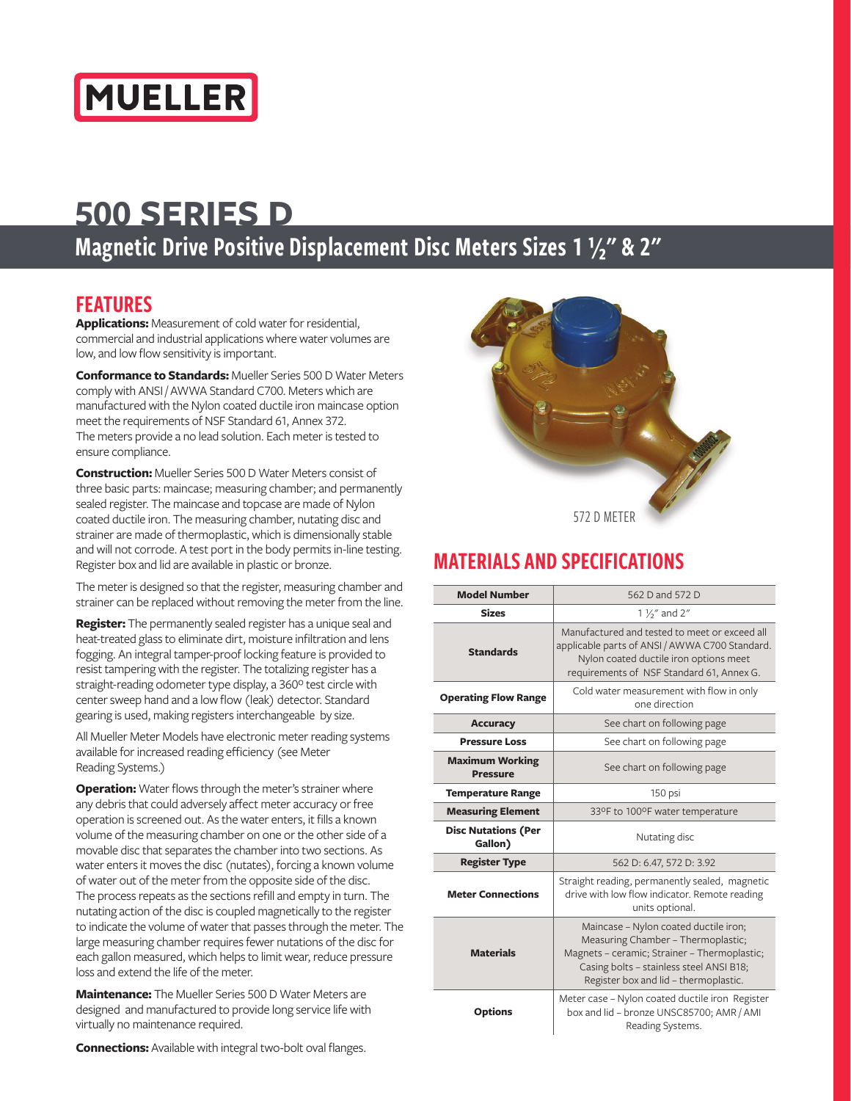

### Magnetic Drive Positive Displacement Disc Meters Sizes 1 1/2" & 2"

#### FEATURES

**Applications:** Measurement of cold water for residential, commercial and industrial applications where water volumes are low, and low flow sensitivity is important.

**Conformance to Standards:** Mueller Series 500 D Water Meters comply with ANSI / AWWA Standard C700. Meters which are manufactured with the Nylon coated ductile iron maincase option meet the requirements of NSF Standard 61, Annex 372. The meters provide a no lead solution. Each meter is tested to ensure compliance.

**Construction:** Mueller Series 500 D Water Meters consist of three basic parts: maincase; measuring chamber; and permanently sealed register. The maincase and topcase are made of Nylon coated ductile iron. The measuring chamber, nutating disc and strainer are made of thermoplastic, which is dimensionally stable and will not corrode. A test port in the body permits in-line testing. Register box and lid are available in plastic or bronze.

The meter is designed so that the register, measuring chamber and strainer can be replaced without removing the meter from the line.

**Register:** The permanently sealed register has a unique seal and heat-treated glass to eliminate dirt, moisture infiltration and lens fogging. An integral tamper-proof locking feature is provided to resist tampering with the register. The totalizing register has a straight-reading odometer type display, a 360º test circle with center sweep hand and a low flow (leak) detector. Standard gearing is used, making registers interchangeable by size.

All Mueller Meter Models have electronic meter reading systems available for increased reading efficiency (see Meter Reading Systems.)

**Operation:** Water flows through the meter's strainer where any debris that could adversely affect meter accuracy or free operation is screened out. As the water enters, it fills a known volume of the measuring chamber on one or the other side of a movable disc that separates the chamber into two sections. As water enters it moves the disc (nutates), forcing a known volume of water out of the meter from the opposite side of the disc. The process repeats as the sections refill and empty in turn. The nutating action of the disc is coupled magnetically to the register to indicate the volume of water that passes through the meter. The large measuring chamber requires fewer nutations of the disc for each gallon measured, which helps to limit wear, reduce pressure loss and extend the life of the meter.

**Maintenance:** The Mueller Series 500 D Water Meters are designed and manufactured to provide long service life with virtually no maintenance required.





#### MATERIALS AND SPECIFICATIONS

| <b>Model Number</b>                       | 562 D and 572 D                                                                                                                                                                                                  |  |  |
|-------------------------------------------|------------------------------------------------------------------------------------------------------------------------------------------------------------------------------------------------------------------|--|--|
| <b>Sizes</b>                              | 1 1/ <sub>2</sub> " and 2"                                                                                                                                                                                       |  |  |
| <b>Standards</b>                          | Manufactured and tested to meet or exceed all<br>applicable parts of ANSI / AWWA C700 Standard.<br>Nylon coated ductile iron options meet<br>requirements of NSF Standard 61, Annex G.                           |  |  |
| <b>Operating Flow Range</b>               | Cold water measurement with flow in only<br>one direction                                                                                                                                                        |  |  |
| <b>Accuracy</b>                           | See chart on following page                                                                                                                                                                                      |  |  |
| <b>Pressure Loss</b>                      | See chart on following page                                                                                                                                                                                      |  |  |
| <b>Maximum Working</b><br><b>Pressure</b> | See chart on following page                                                                                                                                                                                      |  |  |
| <b>Temperature Range</b>                  | 150 psi                                                                                                                                                                                                          |  |  |
| <b>Measuring Element</b>                  | 33ºF to 100ºF water temperature                                                                                                                                                                                  |  |  |
| <b>Disc Nutations (Per</b><br>Gallon)     | Nutating disc                                                                                                                                                                                                    |  |  |
| <b>Register Type</b>                      | 562 D: 6.47, 572 D: 3.92                                                                                                                                                                                         |  |  |
| <b>Meter Connections</b>                  | Straight reading, permanently sealed, magnetic<br>drive with low flow indicator. Remote reading<br>units optional.                                                                                               |  |  |
| <b>Materials</b>                          | Maincase - Nylon coated ductile iron;<br>Measuring Chamber - Thermoplastic;<br>Magnets - ceramic; Strainer - Thermoplastic;<br>Casing bolts - stainless steel ANSI B18;<br>Register box and lid - thermoplastic. |  |  |
| <b>Options</b>                            | Meter case - Nylon coated ductile iron Register<br>box and lid - bronze UNSC85700; AMR / AMI<br>Reading Systems.                                                                                                 |  |  |

**Connections:** Available with integral two-bolt oval flanges.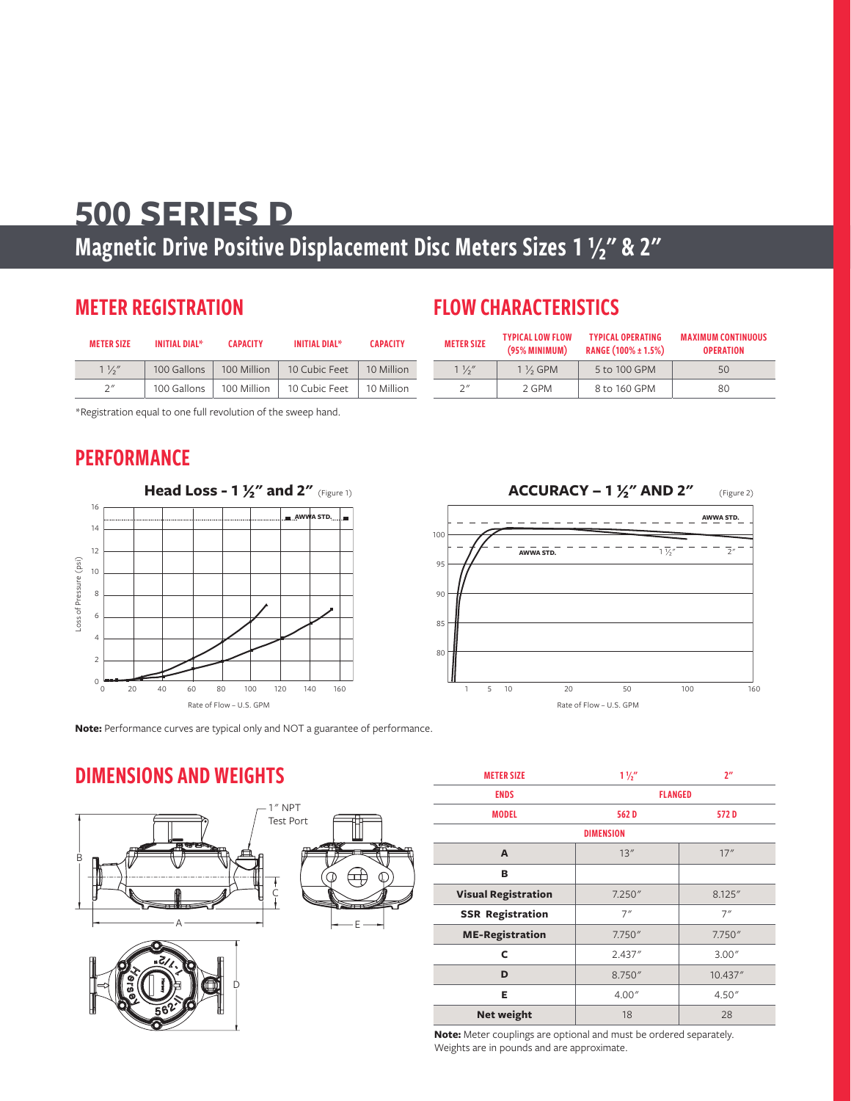### Magnetic Drive Positive Displacement Disc Meters Sizes 1 1/2" & 2"

#### METER REGISTRATION

| <b>METER SIZE</b> | <b>INITIAL DIAL*</b> | <b>CAPACITY</b> | <b>INITIAL DIAL*</b> | <b>CAPACITY</b> |
|-------------------|----------------------|-----------------|----------------------|-----------------|
| $1\frac{1}{2}$    | 100 Gallons          | 100 Million     | 10 Cubic Feet        | 10 Million      |
| 2''               | 100 Gallons          | 100 Million     | 10 Cubic Feet        | 10 Million      |

\*Registration equal to one full revolution of the sweep hand.

#### **PERFORMANCE**



**Note:** Performance curves are typical only and NOT a guarantee of performance.

D

### FLOW CHARACTERISTICS

| <b>METER SIZE</b> | <b>TYPICAL LOW FLOW</b><br>(95% MINIMUM) | <b>TYPICAL OPERATING</b><br>RANGE (100% ± 1.5%) | <b>MAXIMUM CONTINUOUS</b><br><b>OPERATION</b> |  |
|-------------------|------------------------------------------|-------------------------------------------------|-----------------------------------------------|--|
| $1\frac{1}{2}$    | $1\%$ GPM                                | 5 to 100 GPM                                    | 50                                            |  |
| 2''               | 2 GPM                                    | 8 to 160 GPM                                    | 80                                            |  |



#### DIMENSIONS AND WEIGHTS





 $\overline{\phantom{a}}$ 

| <b>METER SIZE</b>          | $1\frac{1}{2}$ | 2 <sup>n</sup> |  |  |
|----------------------------|----------------|----------------|--|--|
| <b>ENDS</b>                | <b>FLANGED</b> |                |  |  |
| <b>MODEL</b>               | 562D           | 572D           |  |  |
| <b>DIMENSION</b>           |                |                |  |  |
| A                          | 13''           | 17''           |  |  |
| в                          |                |                |  |  |
| <b>Visual Registration</b> | 7.250''        | 8.125"         |  |  |
| <b>SSR Registration</b>    | 7''            | 7''            |  |  |
| <b>ME-Registration</b>     | 7.750''        | 7.750"         |  |  |
| C                          | 2.437''        | 3.00''         |  |  |
| D                          | 8.750"         | 10.437"        |  |  |
| E                          | 4.00''         | 4.50''         |  |  |
| <b>Net weight</b>          | 18             | 28             |  |  |

**Note:** Meter couplings are optional and must be ordered separately. Weights are in pounds and are approximate.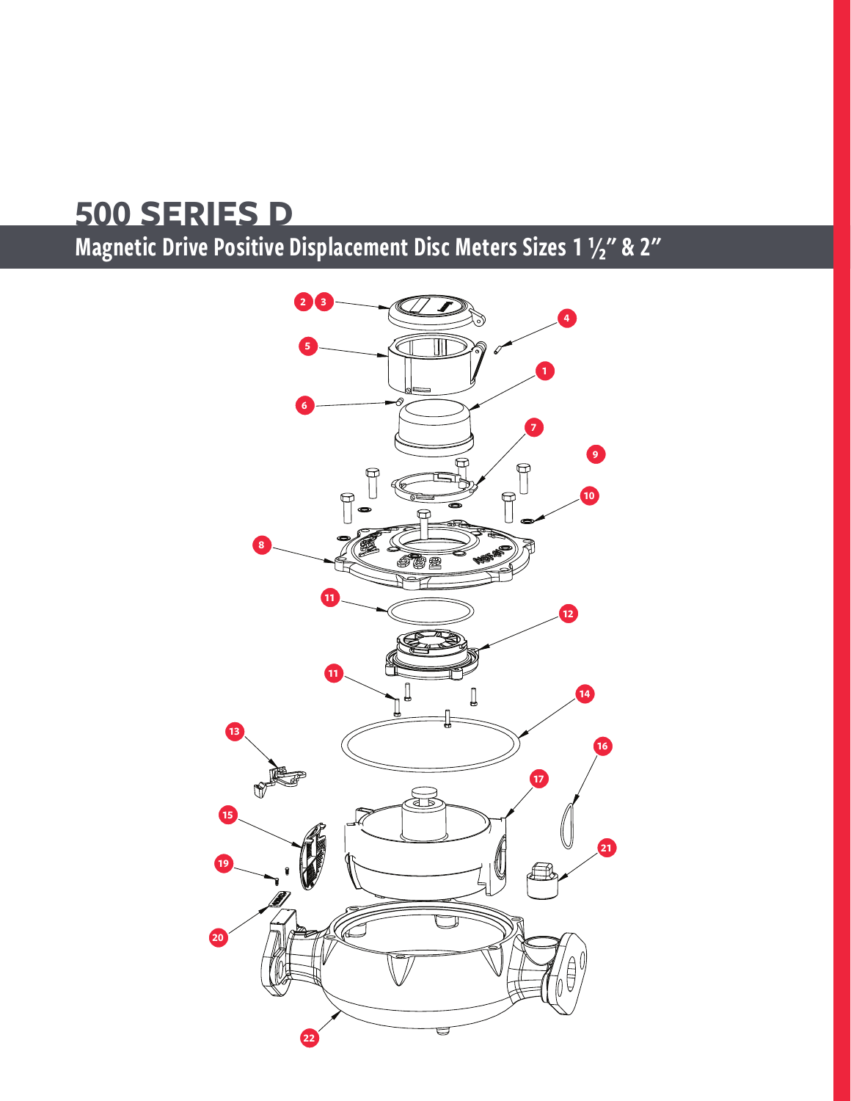Magnetic Drive Positive Displacement Disc Meters Sizes 1 1/2" & 2"

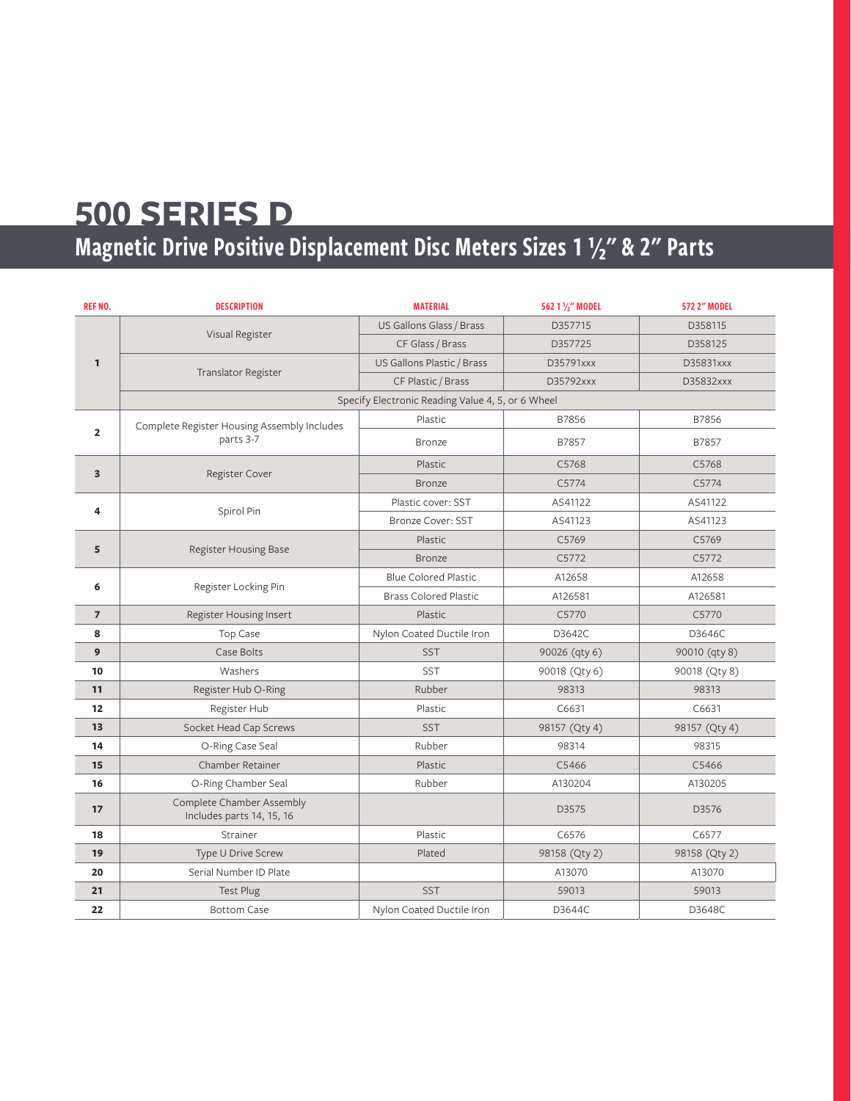# Magnetic Drive Positive Displacement Disc Meters Sizes 1 1/2" & 2" Parts

| REF NO.        | <b>DESCRIPTION</b>                                       | <b>MATERIAL</b>                                   | 562 1 1/2" MODEL | 572 2" MODEL  |
|----------------|----------------------------------------------------------|---------------------------------------------------|------------------|---------------|
| 1              | Visual Register                                          | US Gallons Glass / Brass                          | D357715          | D358115       |
|                |                                                          | CF Glass / Brass                                  | D357725          | D358125       |
|                |                                                          | US Gallons Plastic / Brass                        | D35791xxx        | D35831xxx     |
|                | Translator Register                                      | CF Plastic / Brass                                | D35792xxx        | D35832xxx     |
|                |                                                          | Specify Electronic Reading Value 4, 5, or 6 Wheel |                  |               |
|                | Complete Register Housing Assembly Includes<br>parts 3-7 | Plastic                                           | B7856            | B7856         |
| $\overline{2}$ |                                                          | <b>Bronze</b>                                     | B7857            | B7857         |
| 3              | Register Cover                                           | Plastic                                           | C5768            | C5768         |
|                |                                                          | <b>Bronze</b>                                     | C5774            | C5774         |
| 4              | Spirol Pin                                               | Plastic cover: SST                                | AS41122          | AS41122       |
|                |                                                          | <b>Bronze Cover: SST</b>                          | AS41123          | AS41123       |
| 5              | Register Housing Base                                    | Plastic                                           | C5769            | C5769         |
|                |                                                          | <b>Bronze</b>                                     | C5772            | C5772         |
| 6              | Register Locking Pin                                     | <b>Blue Colored Plastic</b>                       | A12658           | A12658        |
|                |                                                          | <b>Brass Colored Plastic</b>                      | A126581          | A126581       |
| 7              | Register Housing Insert                                  | Plastic                                           | C5770            | C5770         |
| 8              | Top Case                                                 | Nylon Coated Ductile Iron                         | D3642C           | D3646C        |
| 9              | Case Bolts                                               | <b>SST</b>                                        | 90026 (qty 6)    | 90010 (qty 8) |
| 10             | Washers                                                  | <b>SST</b>                                        | 90018 (Qty 6)    | 90018 (Qty 8) |
| 11             | Register Hub O-Ring                                      | Rubber                                            | 98313            | 98313         |
| 12             | Register Hub                                             | Plastic                                           | C6631            | C6631         |
| 13             | Socket Head Cap Screws                                   | <b>SST</b>                                        | 98157 (Qty 4)    | 98157 (Qty 4) |
| 14             | O-Ring Case Seal                                         | Rubber                                            | 98314            | 98315         |
| 15             | Chamber Retainer                                         | Plastic                                           | C5466            | C5466         |
| 16             | O-Ring Chamber Seal                                      | Rubber                                            | A130204          | A130205       |
| 17             | Complete Chamber Assembly<br>Includes parts 14, 15, 16   |                                                   | D3575            | D3576         |
| 18             | Strainer                                                 | Plastic                                           | C6576            | C6577         |
| 19             | Type U Drive Screw                                       | Plated                                            | 98158 (Qty 2)    | 98158 (Qty 2) |
| 20             | Serial Number ID Plate                                   |                                                   | A13070           | A13070        |
| 21             | <b>Test Plug</b>                                         | <b>SST</b>                                        | 59013            | 59013         |
| 22             | <b>Bottom Case</b>                                       | Nylon Coated Ductile Iron                         | D3644C           | D3648C        |